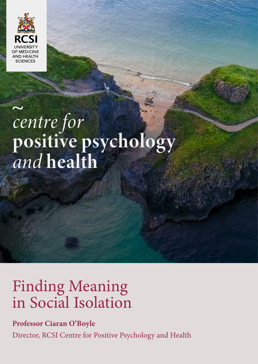

# centre for<br>positive psychology<br>and health

RCSI Centre for Positive Psychology and Health

# Finding Meaning in Social Isolation

## **Professor Ciaran O'Boyle**

Director, RCSI Centre for Positive Psychology and Health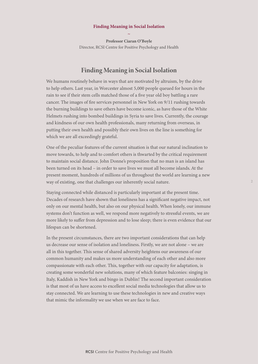### **Finding Meaning in Social Isolation ~**

**Professor Ciaran O'Boyle** Director, RCSI Centre for Positive Psychology and Health

### Finding Meaning in Social Isolation

We humans routinely behave in ways that are motivated by altruism, by the drive to help others. Last year, in Worcester almost 5,000 people queued for hours in the rain to see if their stem cells matched those of a five year old boy battling a rare cancer. The images of fire services personnel in New York on 9/11 rushing towards the burning buildings to save others have become iconic, as have those of the White Helmets rushing into bombed buildings in Syria to save lives. Currently, the courage and kindness of our own health professionals, many returning from overseas, in putting their own health and possibly their own lives on the line is something for which we are all exceedingly grateful.

One of the peculiar features of the current situation is that our natural inclination to move towards, to help and to comfort others is thwarted by the critical requirement to maintain social distance. John Donne's proposition that no man is an island has been turned on its head – in order to save lives we must all become islands. At the present moment, hundreds of millions of us throughout the world are learning a new way of existing, one that challenges our inherently social nature.

Staying connected while distanced is particularly important at the present time. Decades of research have shown that loneliness has a significant negative impact, not only on our mental health, but also on our physical health. When lonely, our immune systems don't function as well, we respond more negatively to stressful events, we are more likely to suffer from depression and to lose sleep; there is even evidence that our lifespan can be shortened.

In the present circumstances, there are two important considerations that can help us decrease our sense of isolation and loneliness. Firstly, we are not alone – we are all in this together. This sense of shared adversity heightens our awareness of our common humanity and makes us more understanding of each other and also more compassionate with each other. This, together with our capacity for adaptation, is creating some wonderful new solutions, many of which feature balconies: singing in Italy, Kaddish in New York and bingo in Dublin! The second important consideration is that most of us have access to excellent social media technologies that allow us to stay connected. We are learning to use these technologies in new and creative ways that mimic the informality we use when we are face to face.